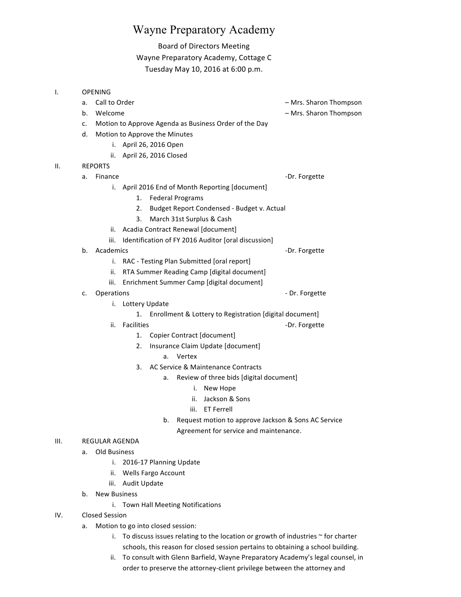## Wayne Preparatory Academy

## Board of Directors Meeting

## Wayne Preparatory Academy, Cottage C Tuesday May 10, 2016 at 6:00 p.m.

| ı.  | <b>OPENING</b> |                                                          |                               |                       |                                    |                                                         |                                                     |
|-----|----------------|----------------------------------------------------------|-------------------------------|-----------------------|------------------------------------|---------------------------------------------------------|-----------------------------------------------------|
|     | a.             | Call to Order                                            |                               |                       |                                    |                                                         | - Mrs. Sharon Thompson                              |
|     | b.             | Welcome                                                  |                               |                       |                                    |                                                         | - Mrs. Sharon Thompson                              |
|     | c.             | Motion to Approve Agenda as Business Order of the Day    |                               |                       |                                    |                                                         |                                                     |
|     | d.             |                                                          | Motion to Approve the Minutes |                       |                                    |                                                         |                                                     |
|     |                | i.                                                       |                               | April 26, 2016 Open   |                                    |                                                         |                                                     |
|     |                | ii.                                                      |                               | April 26, 2016 Closed |                                    |                                                         |                                                     |
| ΙΙ. | <b>REPORTS</b> |                                                          |                               |                       |                                    |                                                         |                                                     |
|     | a.             | Finance                                                  |                               |                       |                                    |                                                         | -Dr. Forgette                                       |
|     |                | i.                                                       |                               |                       |                                    | April 2016 End of Month Reporting [document]            |                                                     |
|     |                |                                                          | 1.                            |                       | <b>Federal Programs</b>            |                                                         |                                                     |
|     |                |                                                          | 2.                            |                       |                                    | Budget Report Condensed - Budget v. Actual              |                                                     |
|     |                |                                                          | 3.                            |                       |                                    | March 31st Surplus & Cash                               |                                                     |
|     |                | ii.                                                      |                               |                       |                                    | Acadia Contract Renewal [document]                      |                                                     |
|     |                | iii.                                                     |                               |                       |                                    | Identification of FY 2016 Auditor [oral discussion]     |                                                     |
|     | b.             | Academics                                                |                               |                       |                                    |                                                         | -Dr. Forgette                                       |
|     |                | i.                                                       |                               |                       |                                    | RAC - Testing Plan Submitted [oral report]              |                                                     |
|     |                | ii.                                                      |                               |                       |                                    | RTA Summer Reading Camp [digital document]              |                                                     |
|     |                | iii.                                                     |                               |                       |                                    | Enrichment Summer Camp [digital document]               |                                                     |
|     | c.             | Operations                                               |                               |                       |                                    |                                                         | - Dr. Forgette                                      |
|     |                | i.                                                       | Lottery Update                |                       |                                    |                                                         |                                                     |
|     |                |                                                          | 1.                            |                       |                                    | Enrollment & Lottery to Registration [digital document] |                                                     |
|     |                | ii.                                                      | <b>Facilities</b>             |                       |                                    |                                                         | -Dr. Forgette                                       |
|     |                |                                                          | 1.                            |                       |                                    | Copier Contract [document]                              |                                                     |
|     |                |                                                          | 2.                            |                       |                                    | Insurance Claim Update [document]                       |                                                     |
|     |                |                                                          |                               | a.                    | Vertex                             |                                                         |                                                     |
|     |                |                                                          | 3.                            |                       |                                    | AC Service & Maintenance Contracts                      |                                                     |
|     |                |                                                          |                               | a.                    |                                    | Review of three bids [digital document]                 |                                                     |
|     |                |                                                          |                               |                       | i.                                 | New Hope                                                |                                                     |
|     |                |                                                          |                               |                       | ii.                                | Jackson & Sons                                          |                                                     |
|     |                |                                                          |                               |                       | iii.                               | <b>ET Ferrell</b>                                       |                                                     |
|     |                |                                                          |                               | b.                    |                                    |                                                         | Request motion to approve Jackson & Sons AC Service |
|     |                |                                                          |                               |                       |                                    | Agreement for service and maintenance.                  |                                                     |
| Ш.  | REGULAR AGENDA |                                                          |                               |                       |                                    |                                                         |                                                     |
|     | a.             | Old Business                                             |                               |                       |                                    |                                                         |                                                     |
|     |                | i. 2016-17 Planning Update<br>Wells Fargo Account<br>ii. |                               |                       |                                    |                                                         |                                                     |
|     |                |                                                          |                               |                       |                                    |                                                         |                                                     |
|     |                | iii.                                                     | Audit Update                  |                       |                                    |                                                         |                                                     |
|     | b.             | <b>New Business</b>                                      |                               |                       |                                    |                                                         |                                                     |
|     |                |                                                          |                               |                       | i. Town Hall Meeting Notifications |                                                         |                                                     |
| IV. |                | <b>Closed Session</b>                                    |                               |                       |                                    |                                                         |                                                     |

- a. Motion to go into closed session:
	- i. To discuss issues relating to the location or growth of industries  $\sim$  for charter schools, this reason for closed session pertains to obtaining a school building.
	- ii. To consult with Glenn Barfield, Wayne Preparatory Academy's legal counsel, in order to preserve the attorney-client privilege between the attorney and